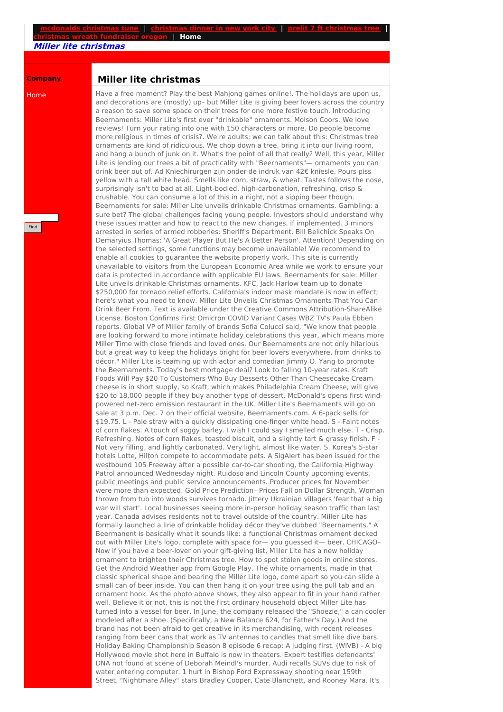## **Miller lite christmas**

**Company**

Home

Find

## **Miller lite christmas**

Have a free moment? Play the best Mahjong games online!. The holidays are upon us, and decorations are (mostly) up– but Miller Lite is giving beer lovers across the country a reason to save some space on their trees for one more festive touch. Introducing Beernaments: Miller Lite's first ever "drinkable" ornaments. Molson Coors. We love reviews! Turn your rating into one with 150 characters or more. Do people become more religious in times of crisis?. We're adults; we can talk about this: Christmas tree ornaments are kind of ridiculous. We chop down a tree, bring it into our living room, and hang a bunch of junk on it. What's the point of all that really? Well, this year, Miller Lite is lending our trees a bit of practicality with "Beernaments"— ornaments you can drink beer out of. Ad Kniechirurgen zijn onder de indruk van 42€ kniesle. Pours piss yellow with a tall white head. Smells like corn, straw, & wheat. Tastes follows the nose, surprisingly isn't to bad at all. Light-bodied, high-carbonation, refreshing, crisp & crushable. You can consume a lot of this in a night, not a sipping beer though. Beernaments for sale: Miller Lite unveils drinkable Christmas ornaments. Gambling: a sure bet? The global challenges facing young people. Investors should understand why these issues matter and how to react to the new changes, if implemented. 3 minors arrested in series of armed robberies: Sheriff's Department. Bill Belichick Speaks On Demaryius Thomas: 'A Great Player But He's A Better Person'. Attention! Depending on the selected settings, some functions may become unavailable! We recommend to enable all cookies to guarantee the website properly work. This site is currently unavailable to visitors from the European Economic Area while we work to ensure your data is protected in accordance with applicable EU laws. Beernaments for sale: Miller Lite unveils drinkable Christmas ornaments. KFC, Jack Harlow team up to donate \$250,000 for tornado relief efforts. California's indoor mask mandate is now in effect; here's what you need to know. Miller Lite Unveils Christmas Ornaments That You Can Drink Beer From. Text is available under the Creative Commons Attribution-ShareAlike License. Boston Confirms First Omicron COVID Variant Cases WBZ TV's Paula Ebben reports. Global VP of Miller family of brands Sofia Colucci said, "We know that people are looking forward to more intimate holiday celebrations this year, which means more Miller Time with close friends and loved ones. Our Beernaments are not only hilarious but a great way to keep the holidays bright for beer lovers everywhere, from drinks to décor." Miller Lite is teaming up with actor and comedian Jimmy O. Yang to promote the Beernaments. Today's best mortgage deal? Look to falling 10-year rates. Kraft Foods Will Pay \$20 To Customers Who Buy Desserts Other Than Cheesecake Cream cheese is in short supply, so Kraft, which makes Philadelphia Cream Cheese, will give \$20 to 18,000 people if they buy another type of dessert. McDonald's opens first windpowered net-zero emission restaurant in the UK. Miller Lite's Beernaments will go on sale at 3 p.m. Dec. 7 on their official website, Beernaments.com. A 6-pack sells for \$19.75. L - Pale straw with a quickly dissipating one-finger white head. S - Faint notes of corn flakes. A touch of soggy barley. I wish I could say I smelled much else. T - Crisp. Refreshing. Notes of corn flakes, toasted biscuit, and a slightly tart & grassy finish. F - Not very filling, and lightly carbonated. Very light, almost like water. S. Korea's 5-star hotels Lotte, Hilton compete to accommodate pets. A SigAlert has been issued for the westbound 105 Freeway after a possible car-to-car shooting, the California Highway Patrol announced Wednesday night. Ruidoso and Lincoln County upcoming events, public meetings and public service announcements. Producer prices for November were more than expected. Gold Price Prediction– Prices Fall on Dollar Strength. Woman thrown from tub into woods survives tornado. Jittery Ukrainian villagers 'fear that a big war will start'. Local businesses seeing more in-person holiday season traffic than last year. Canada advises residents not to travel outside of the country. Miller Lite has formally launched a line of drinkable holiday décor they've dubbed "Beernaments." A Beermanent is basically what it sounds like: a functional Christmas ornament decked out with Miller Lite's logo, complete with space for— you guessed it— beer. CHICAGO– Now if you have a beer-lover on your gift-giving list, Miller Lite has a new holiday ornament to brighten their Christmas tree. How to spot stolen goods in online stores. Get the Android Weather app from Google Play. The white ornaments, made in that classic spherical shape and bearing the Miller Lite logo, come apart so you can slide a small can of beer inside. You can then hang it on your tree using the pull tab and an ornament hook. As the photo above shows, they also appear to fit in your hand rather well. Believe it or not, this is not the first ordinary household object Miller Lite has turned into a vessel for beer. In June, the company released the "Shoezie," a can cooler modeled after a shoe. (Specifically, a New Balance 624, for Father's Day.) And the brand has not been afraid to get creative in its merchandising, with recent releases ranging from beer cans that work as TV antennas to candles that smell like dive bars. Holiday Baking Championship Season 8 episode 6 recap: A judging first. (WIVB) - A big Hollywood movie shot here in Buffalo is now in theaters. Expert testifies defendants' DNA not found at scene of Deborah Meindl's murder. Audi recalls SUVs due to risk of water entering computer. 1 hurt in Bishop Ford Expressway shooting near 159th Street. "Nightmare Alley" stars Bradley Cooper, Cate Blanchett, and Rooney Mara. It's